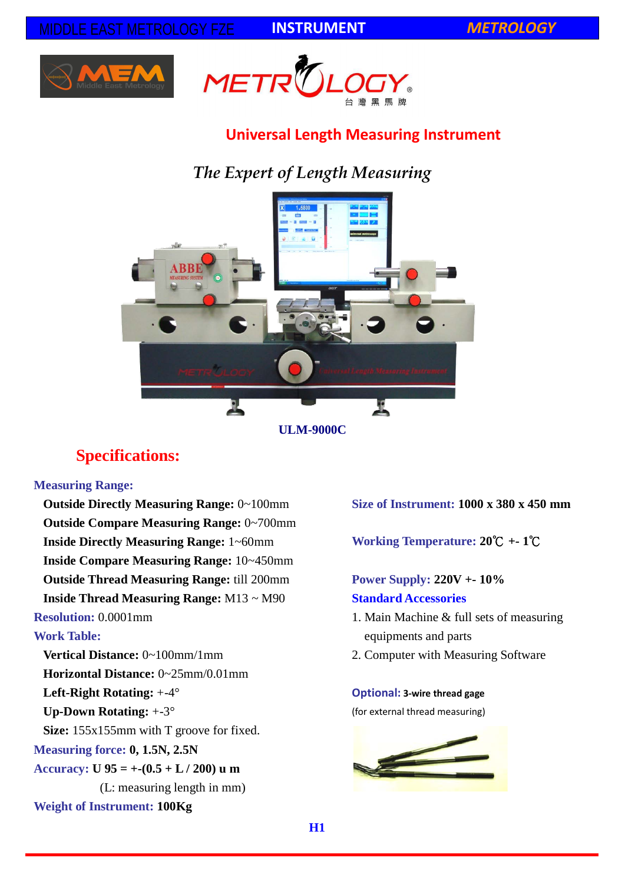**INSTRUMENT** *METROLOGY*





## **Universal Length Measuring Instrument**

# *The Expert of Length Measuring*



**ULM-9000C**

## **Specifications:**

### **Measuring Range:**

**Outside Directly Measuring Range:** 0~100mm **Outside Compare Measuring Range:** 0~700mm **Inside Directly Measuring Range:** 1~60mm **Inside Compare Measuring Range:** 10~450mm **Outside Thread Measuring Range:** till 200mm **Inside Thread Measuring Range:** M13 ~ M90 **Resolution:** 0.0001mm

### **Work Table:**

**Vertical Distance:** 0~100mm/1mm **Horizontal Distance:** 0~25mm/0.01mm **Left-Right Rotating:** +-4° **Up-Down Rotating:** +-3° **Size:** 155x155mm with T groove for fixed. **Measuring force: 0, 1.5N, 2.5N Accuracy: U 95 = +-(0.5 + L / 200) u m** (L: measuring length in mm) **Weight of Instrument: 100Kg**

**Size of Instrument: 1000 x 380 x 450 mm**

**Working Temperature: 20**℃ **+- 1**℃

## **Power Supply: 220V +- 10% Standard Accessories**

- 1. Main Machine & full sets of measuring equipments and parts
- 2. Computer with Measuring Software

### **Optional: 3-wire thread gage**

(for external thread measuring)

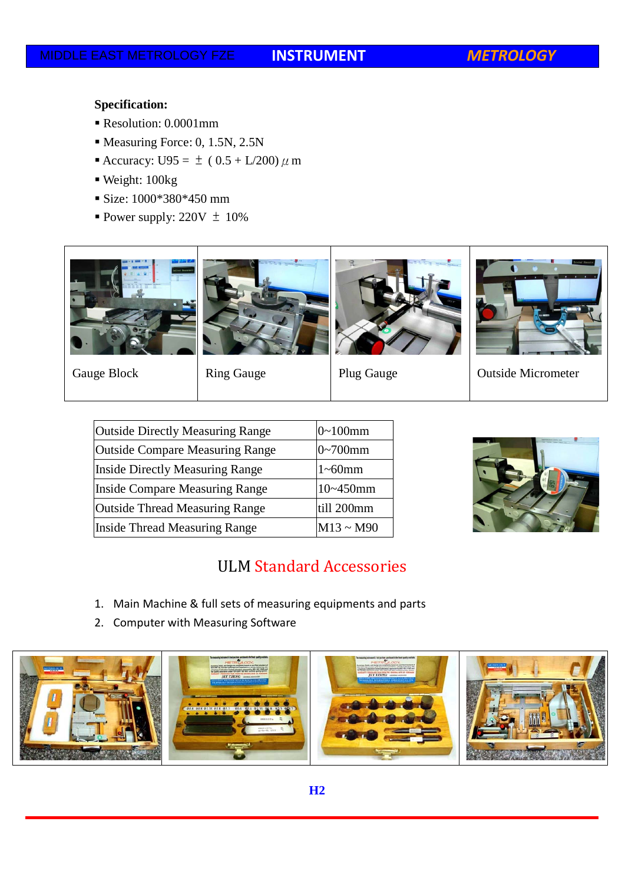### **Specification:**

- Resolution: 0.0001mm
- Measuring Force: 0, 1.5N, 2.5N
- Accuracy: U95 =  $\pm (0.5 + L/200) \mu$  m
- Weight: 100kg
- Size: 1000\*380\*450 mm
- Power supply:  $220V \pm 10\%$





Gauge Block Ring Gauge Plug Gauge | Outside Micrometer

| <b>Outside Directly Measuring Range</b> | $0 - 100$ mm   |
|-----------------------------------------|----------------|
| <b>Outside Compare Measuring Range</b>  | $0 - 700$ mm   |
| <b>Inside Directly Measuring Range</b>  | $1\neg 60$ mm  |
| <b>Inside Compare Measuring Range</b>   | $10 - 450$ mm  |
| <b>Outside Thread Measuring Range</b>   | till 200mm     |
| <b>Inside Thread Measuring Range</b>    | $M13 \sim M90$ |



## ULM Standard Accessories

- 1. Main Machine & full sets of measuring equipments and parts
- 2. Computer with Measuring Software